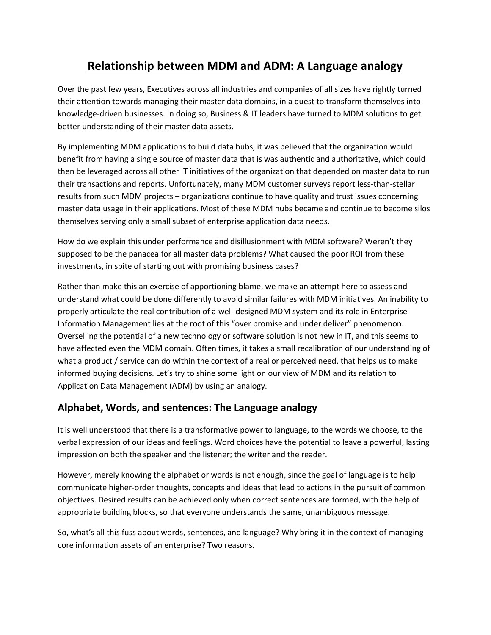## **Relationship between MDM and ADM: A Language analogy**

Over the past few years, Executives across all industries and companies of all sizes have rightly turned their attention towards managing their master data domains, in a quest to transform themselves into knowledge-driven businesses. In doing so, Business & IT leaders have turned to MDM solutions to get better understanding of their master data assets.

By implementing MDM applications to build data hubs, it was believed that the organization would benefit from having a single source of master data that is was authentic and authoritative, which could then be leveraged across all other IT initiatives of the organization that depended on master data to run their transactions and reports. Unfortunately, many MDM customer surveys report less-than-stellar results from such MDM projects – organizations continue to have quality and trust issues concerning master data usage in their applications. Most of these MDM hubs became and continue to become silos themselves serving only a small subset of enterprise application data needs.

How do we explain this under performance and disillusionment with MDM software? Weren't they supposed to be the panacea for all master data problems? What caused the poor ROI from these investments, in spite of starting out with promising business cases?

Rather than make this an exercise of apportioning blame, we make an attempt here to assess and understand what could be done differently to avoid similar failures with MDM initiatives. An inability to properly articulate the real contribution of a well-designed MDM system and its role in Enterprise Information Management lies at the root of this "over promise and under deliver" phenomenon. Overselling the potential of a new technology or software solution is not new in IT, and this seems to have affected even the MDM domain. Often times, it takes a small recalibration of our understanding of what a product / service can do within the context of a real or perceived need, that helps us to make informed buying decisions. Let's try to shine some light on our view of MDM and its relation to Application Data Management (ADM) by using an analogy.

## **Alphabet, Words, and sentences: The Language analogy**

It is well understood that there is a transformative power to language, to the words we choose, to the verbal expression of our ideas and feelings. Word choices have the potential to leave a powerful, lasting impression on both the speaker and the listener; the writer and the reader.

However, merely knowing the alphabet or words is not enough, since the goal of language is to help communicate higher-order thoughts, concepts and ideas that lead to actions in the pursuit of common objectives. Desired results can be achieved only when correct sentences are formed, with the help of appropriate building blocks, so that everyone understands the same, unambiguous message.

So, what's all this fuss about words, sentences, and language? Why bring it in the context of managing core information assets of an enterprise? Two reasons.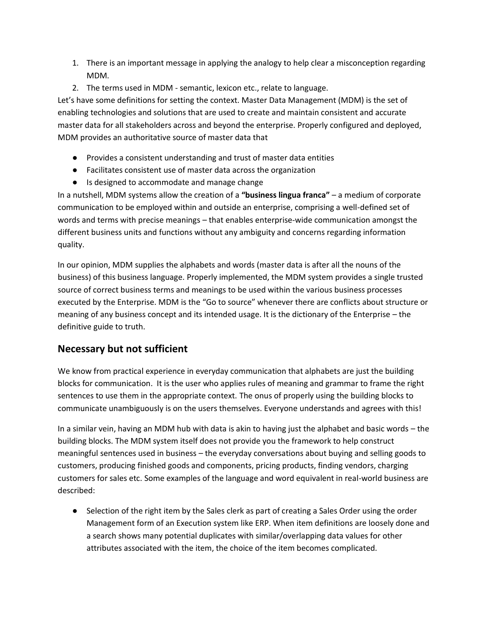- 1. There is an important message in applying the analogy to help clear a misconception regarding MDM.
- 2. The terms used in MDM semantic, lexicon etc., relate to language.

Let's have some definitions for setting the context. Master Data Management (MDM) is the set of enabling technologies and solutions that are used to create and maintain consistent and accurate master data for all stakeholders across and beyond the enterprise. Properly configured and deployed, MDM provides an authoritative source of master data that

- Provides a consistent understanding and trust of master data entities
- Facilitates consistent use of master data across the organization
- Is designed to accommodate and manage change

In a nutshell, MDM systems allow the creation of a **"business lingua franca"** – a medium of corporate communication to be employed within and outside an enterprise, comprising a well-defined set of words and terms with precise meanings – that enables enterprise-wide communication amongst the different business units and functions without any ambiguity and concerns regarding information quality.

In our opinion, MDM supplies the alphabets and words (master data is after all the nouns of the business) of this business language. Properly implemented, the MDM system provides a single trusted source of correct business terms and meanings to be used within the various business processes executed by the Enterprise. MDM is the "Go to source" whenever there are conflicts about structure or meaning of any business concept and its intended usage. It is the dictionary of the Enterprise – the definitive guide to truth.

## **Necessary but not sufficient**

We know from practical experience in everyday communication that alphabets are just the building blocks for communication. It is the user who applies rules of meaning and grammar to frame the right sentences to use them in the appropriate context. The onus of properly using the building blocks to communicate unambiguously is on the users themselves. Everyone understands and agrees with this!

In a similar vein, having an MDM hub with data is akin to having just the alphabet and basic words – the building blocks. The MDM system itself does not provide you the framework to help construct meaningful sentences used in business – the everyday conversations about buying and selling goods to customers, producing finished goods and components, pricing products, finding vendors, charging customers for sales etc. Some examples of the language and word equivalent in real-world business are described:

● Selection of the right item by the Sales clerk as part of creating a Sales Order using the order Management form of an Execution system like ERP. When item definitions are loosely done and a search shows many potential duplicates with similar/overlapping data values for other attributes associated with the item, the choice of the item becomes complicated.